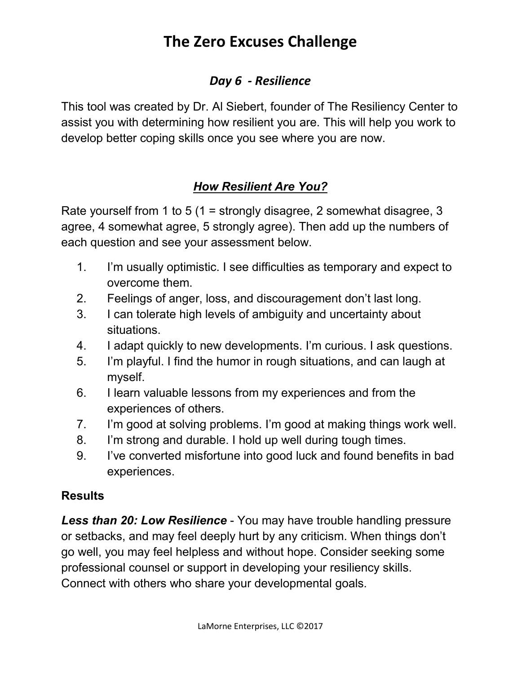## **The Zero Excuses Challenge**

#### *Day 6 - Resilience*

This tool was created by Dr. Al Siebert, founder of The Resiliency Center to assist you with determining how resilient you are. This will help you work to develop better coping skills once you see where you are now.

### *How Resilient Are You?*

Rate yourself from 1 to 5 (1 = strongly disagree, 2 somewhat disagree, 3 agree, 4 somewhat agree, 5 strongly agree). Then add up the numbers of each question and see your assessment below.

- 1. I'm usually optimistic. I see difficulties as temporary and expect to overcome them.
- 2. Feelings of anger, loss, and discouragement don't last long.
- 3. I can tolerate high levels of ambiguity and uncertainty about situations.
- 4. I adapt quickly to new developments. I'm curious. I ask questions.
- 5. I'm playful. I find the humor in rough situations, and can laugh at myself.
- 6. I learn valuable lessons from my experiences and from the experiences of others.
- 7. I'm good at solving problems. I'm good at making things work well.
- 8. I'm strong and durable. I hold up well during tough times.
- 9. I've converted misfortune into good luck and found benefits in bad experiences.

#### **Results**

*Less than 20: Low Resilience* - You may have trouble handling pressure or setbacks, and may feel deeply hurt by any criticism. When things don't go well, you may feel helpless and without hope. Consider seeking some professional counsel or support in developing your resiliency skills. Connect with others who share your developmental goals.